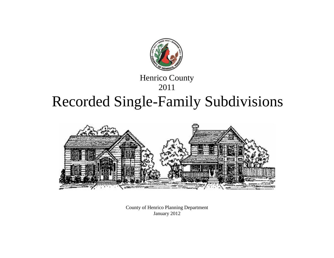

## Henrico County

## 2011

# Recorded Single-Family Subdivisions



County of Henrico Planning Department January 2012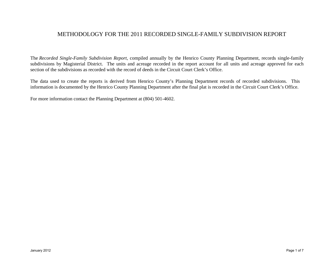#### METHODOLOGY FOR THE 2011 RECORDED SINGLE-FAMILY SUBDIVISION REPORT

The *Recorded Single-Family Subdivision Report*, compiled annually by the Henrico County Planning Department, records single-family subdivisions by Magisterial District. The units and acreage recorded in the report account for all units and acreage approved for each section of the subdivisions as recorded with the record of deeds in the Circuit Court Clerk's Office.

The data used to create the reports is derived from Henrico County's Planning Department records of recorded subdivisions. This information is documented by the Henrico County Planning Department after the final plat is recorded in the Circuit Court Clerk's Office.

For more information contact the Planning Department at (804) 501-4602.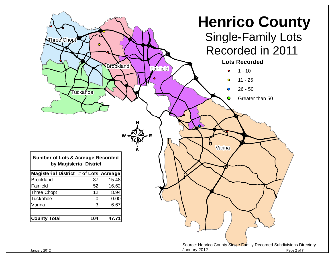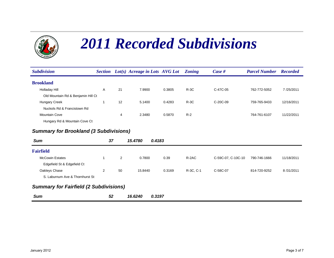

# *2011 Recorded Subdivisions*

| <b>Subdivision</b>                            |    |    | Section Lot(s) Acreage in Lots AVG Lot |        | <b>Zoning</b> | Case #             | <b>Parcel Number</b> | <b>Recorded</b> |  |  |
|-----------------------------------------------|----|----|----------------------------------------|--------|---------------|--------------------|----------------------|-----------------|--|--|
| <b>Brookland</b>                              |    |    |                                        |        |               |                    |                      |                 |  |  |
| Holladay Hill                                 | Α  | 21 | 7.9900                                 | 0.3805 | $R-3C$        | C-47C-05           | 762-772-5052         | 7/25/2011       |  |  |
| Old Mountain Rd & Benjamin Hill Ct            |    |    |                                        |        |               |                    |                      |                 |  |  |
| Hungary Creek                                 | 1  | 12 | 5.1400                                 | 0.4283 | $R-3C$        | C-20C-09           | 759-765-9433         | 12/16/2011      |  |  |
| Nuckols Rd & Francistown Rd                   |    |    |                                        |        |               |                    |                      |                 |  |  |
| <b>Mountain Cove</b>                          |    | 4  | 2.3480                                 | 0.5870 | $R-2$         |                    | 764-761-6107         | 11/22/2011      |  |  |
| Hungary Rd & Mountain Cove Ct                 |    |    |                                        |        |               |                    |                      |                 |  |  |
| <b>Summary for Brookland (3 Subdivisions)</b> |    |    |                                        |        |               |                    |                      |                 |  |  |
| <b>Sum</b>                                    | 37 |    | 0.4183<br>15.4780                      |        |               |                    |                      |                 |  |  |
| <b>Fairfield</b>                              |    |    |                                        |        |               |                    |                      |                 |  |  |
| <b>McCowin Estates</b>                        | 1  | 2  | 0.7800                                 | 0.39   | R-2AC         | C-59C-07, C-10C-10 | 790-746-1666         | 11/18/2011      |  |  |
| Edgefield St & Edgefield Ct                   |    |    |                                        |        |               |                    |                      |                 |  |  |
| Oakleys Chase                                 | 2  | 50 | 15.8440                                | 0.3169 | R-3C, C-1     | C-58C-07           | 814-720-9252         | 8/31/2011       |  |  |
| S. Laburnum Ave & Thornhurst St               |    |    |                                        |        |               |                    |                      |                 |  |  |
| <b>Summary for Fairfield (2 Subdivisions)</b> |    |    |                                        |        |               |                    |                      |                 |  |  |

*Sum52 16.6240 0.3197*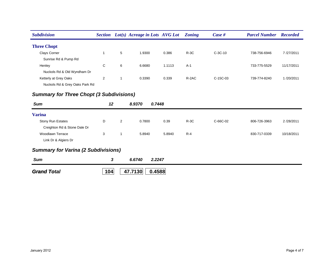| <b>Subdivision</b>                              | <b>Section</b> |   | Lot(s) Acreage in Lots AVG Lot |        | <b>Zoning</b> | Case #     | <b>Parcel Number</b> | <b>Recorded</b> |
|-------------------------------------------------|----------------|---|--------------------------------|--------|---------------|------------|----------------------|-----------------|
| <b>Three Chopt</b>                              |                |   |                                |        |               |            |                      |                 |
| Clays Corner                                    | $\mathbf{1}$   | 5 | 1.9300                         | 0.386  | $R-3C$        | $C-3C-10$  | 738-756-6946         | 7/27/2011       |
| Sunrise Rd & Pump Rd                            |                |   |                                |        |               |            |                      |                 |
| Henley                                          | C              | 6 | 6.6680                         | 1.1113 | $A-1$         |            | 733-775-5529         | 11/17/2011      |
| Nuckols Rd & Old Wyndham Dr                     |                |   |                                |        |               |            |                      |                 |
| Ketterly at Grey Oaks                           | 2              |   | 0.3390                         | 0.339  | R-2AC         | $C-15C-03$ | 739-774-8240         | 1/20/2011       |
| Nuckols Rd & Grey Oaks Park Rd                  |                |   |                                |        |               |            |                      |                 |
| <b>Summary for Three Chopt (3 Subdivisions)</b> |                |   |                                |        |               |            |                      |                 |
| <b>Sum</b>                                      | 12             |   | 8.9370<br>0.7448               |        |               |            |                      |                 |
| <b>Varina</b>                                   |                |   |                                |        |               |            |                      |                 |

| <b>Stony Run Estates</b>     |  | 0.7800 | 0.39   | $R-3C$ | C-66C-02 | 806-726-3963 | 2/28/2011  |
|------------------------------|--|--------|--------|--------|----------|--------------|------------|
| Creighton Rd & Stone Dale Dr |  |        |        |        |          |              |            |
| Woodlawn Terrace             |  | 5.8940 | 5.8940 | $R-4$  |          | 830-717-0339 | 10/18/2011 |
| Link Dr & Algiers Dr         |  |        |        |        |          |              |            |

### *Summary for Varina (2 Subdivisions)*

*Sum 3 6.6740 2.2247 Grand To Total* **104 47.71300.4588**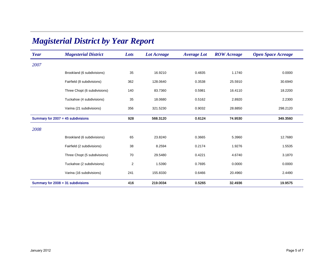| Year                                 | <b>Magesterial District</b>  | Lots                    | <b>Lot Acreage</b> | <b>Average Lot</b> | <b>ROW</b> Acreage | <b>Open Space Acreage</b> |
|--------------------------------------|------------------------------|-------------------------|--------------------|--------------------|--------------------|---------------------------|
| 2007                                 |                              |                         |                    |                    |                    |                           |
|                                      | Brookland (6 subdivisions)   | 35                      | 16.9210            | 0.4835             | 1.1740             | 0.0000                    |
|                                      | Fairfield (8 subdivisions)   | 362                     | 128.0640           | 0.3538             | 25.5910            | 30.6940                   |
|                                      | Three Chopt (6 subdivisions) | 140                     | 83.7360            | 0.5981             | 16.4110            | 18.2200                   |
|                                      | Tuckahoe (4 subdivisions)    | 35                      | 18.0680            | 0.5162             | 2.8920             | 2.2300                    |
|                                      | Varina (21 subdivisions)     | 356                     | 321.5230           | 0.9032             | 28.8850            | 298.2120                  |
| Summary for $2007 = 45$ subdivisions |                              | 928                     | 568.3120           | 0.6124             | 74.9530            | 349.3560                  |
| 2008                                 |                              |                         |                    |                    |                    |                           |
|                                      | Brookland (6 subdivisions)   | 65                      | 23.8240            | 0.3665             | 5.3960             | 12.7680                   |
|                                      | Fairfield (2 subdivisions)   | 38                      | 8.2594             | 0.2174             | 1.9276             | 1.5535                    |
|                                      | Three Chopt (5 subdivisions) | 70                      | 29.5480            | 0.4221             | 4.6740             | 3.1870                    |
|                                      | Tuckahoe (2 subdivisions)    | $\overline{\mathbf{c}}$ | 1.5390             | 0.7695             | 0.0000             | 0.0000                    |
|                                      | Varina (16 subdivisions)     | 241                     | 155.8330           | 0.6466             | 20.4960            | 2.4490                    |
| Summary for $2008 = 31$ subdivisions |                              | 416                     | 219.0034           | 0.5265             | 32.4936            | 19.9575                   |

## *Magisterial District by Year Report*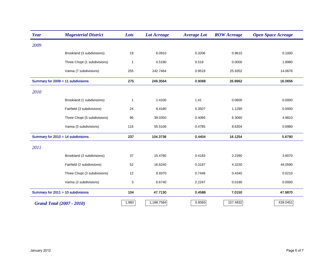| Year                                 | <b>Magesterial District</b>  | Lots         | <b>Lot Acreage</b> | <b>Average Lot</b> | <b>ROW</b> Acreage | <b>Open Space Acreage</b> |
|--------------------------------------|------------------------------|--------------|--------------------|--------------------|--------------------|---------------------------|
| 2009                                 |                              |              |                    |                    |                    |                           |
|                                      | Brookland (3 subdivisions)   | 19           | 6.0910             | 0.3206             | 0.9610             | 0.1000                    |
|                                      | Three Chopt (1 subdivisions) | $\mathbf{1}$ | 0.5190             | 0.519              | 0.0000             | 1.8980                    |
|                                      | Varina (7 subdivisions)      | 255          | 242.7464           | 0.9519             | 25.9352            | 14.0676                   |
| Summary for 2009 = 11 subdivisions   |                              | 275          | 249.3564           | 0.9068             | 26.8962            | 16.0656                   |
| 2010                                 |                              |              |                    |                    |                    |                           |
|                                      | Brookland (1 subdivisions)   | $\mathbf{1}$ | 1.4100             | 1.41               | 0.0600             | 0.0000                    |
|                                      | Fairfield (3 subdivisions)   | 24           | 8.4180             | 0.3507             | 1.1290             | 0.0000                    |
|                                      | Three Chopt (5 subdivisions) | 96           | 39.0350            | 0.4066             | 6.3060             | 4.9810                    |
|                                      | Varina (5 subdivisions)      | 116          | 55.5106            | 0.4785             | 8.6304             | 0.6980                    |
| Summary for $2010 = 14$ subdivisions |                              | 237          | 104.3736           | 0.4404             | 16.1254            | 5.6790                    |
| 2011                                 |                              |              |                    |                    |                    |                           |
|                                      | Brookland (3 subdivisions)   | 37           | 15.4780            | 0.4183             | 2.2390             | 3.9070                    |
|                                      | Fairfield (2 subdivisions)   | 52           | 16.6240            | 0.3197             | 4.3230             | 44.0590                   |
|                                      | Three Chopt (3 subdivisions) | 12           | 8.9370             | 0.7448             | 0.4340             | 0.0210                    |
|                                      | Varina (2 subdivisions)      | 3            | 6.6740             | 2.2247             | 0.0190             | 0.0000                    |
| Summary for $2011 = 10$ subdivisions |                              | 104          | 47.7130            | 0.4588             | 7.0150             | 47.9870                   |
| <b>Grand Total (2007 - 2010)</b>     |                              | 1,960        | 1,188.7584         | 0.6065             | 157.4832           | 439.0451                  |